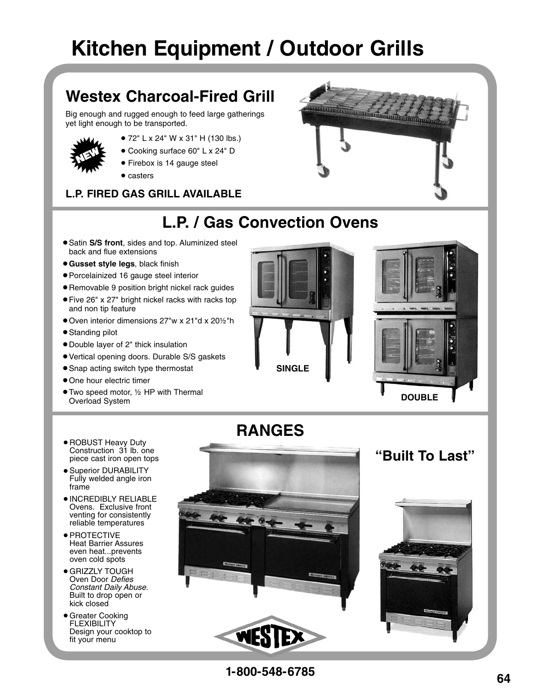# **Kitchen Equipment / Outdoor Grills**

# **Westex Charcoal-Fired Grill**

Big enough and rugged enough to feed large gatherings yet light enough to be transported.



- 72" L x 24" W x 31" H (130 lbs.)
- Cooking surface 60" L x 24" D
- Firebox is 14 gauge steel
- casters

## **L.P. FIRED GAS GRILL AVAILABLE**



# **L.P. / Gas Convection Ovens**

- **Satin S/S front, sides and top. Aluminized steel** back and flue extensions
- **Gusset style legs**, black finish
- Porcelainized 16 gauge steel interior
- Removable 9 position bright nickel rack guides
- Five 26" x 27" bright nickel racks with racks top and non tip feature
- Oven interior dimensions 27"w x 21"d x 201⁄2"h
- Standing pilot
- Double layer of 2" thick insulation
- Vertical opening doors. Durable S/S gaskets
- Snap acting switch type thermostat
- One hour electric timer
- Two speed motor, 1/2 HP with Thermal Overload System





# **RANGES**

- ROBUST Heavy Duty Construction 31 lb. one piece cast iron open tops
- **Superior DURABILITY**  Fully welded angle iron frame
- INCREDIBLY RELIABLE Ovens. Exclusive front venting for consistently reliable temperatures
- · PROTECTIVE Heat Barrier Assures even heat...prevents oven cold spots
- GRIZZLY TOUGH Oven Door Defies Constant Daily Abuse. Built to drop open or kick closed
- Greater Cooking **FLEXIBILITY**  Design your cooktop to fit your menu



**"Built To Last"**

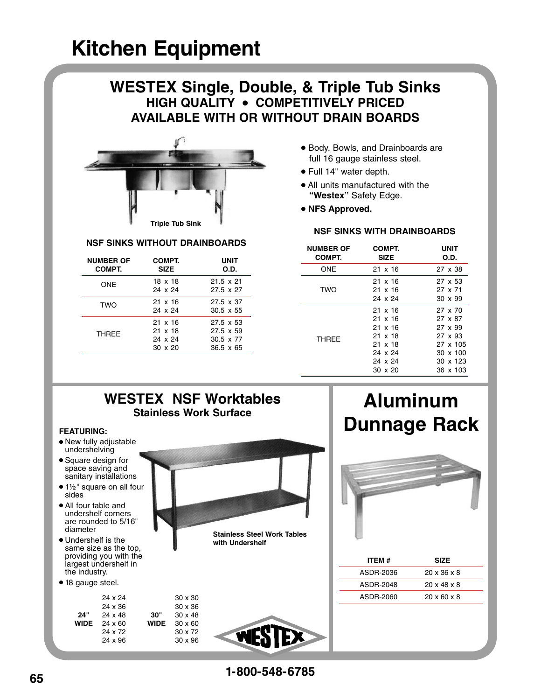## **WESTEX Single, Double, & Triple Tub Sinks HIGH QUALITY • COMPETITIVELY PRICED AVAILABLE WITH OR WITHOUT DRAIN BOARDS**



### **NSF SINKS WITHOUT DRAINBOARDS**

| <b>NUMBER OF</b><br>COMPT. | COMPT.<br><b>SIZE</b>                                  | UNIT<br>O.D.                                                          |
|----------------------------|--------------------------------------------------------|-----------------------------------------------------------------------|
| <b>ONE</b>                 | 18 x 18<br>24 x 24                                     | $21.5 \times 21$<br>27.5 x 27                                         |
| <b>TWO</b>                 | $21 \times 16$<br>24 x 24                              | 27.5 x 37<br>$30.5 \times 55$                                         |
| <b>THRFF</b>               | $21 \times 16$<br>21 x 18<br>24 x 24<br>$30 \times 20$ | $27.5 \times 53$<br>27.5 x 59<br>$30.5 \times 77$<br>$36.5 \times 65$ |

- Body, Bowls, and Drainboards are full 16 gauge stainless steel.
- Full 14" water depth.
- All units manufactured with the **"Westex"** Safety Edge.
- **NFS Approved.**

### **NSF SINKS WITH DRAINBOARDS**

| <b>NUMBER OF</b><br>COMPT. | COMPT.<br><b>SIZE</b>                                                                       | <b>UNIT</b><br>O.D.                                                                      |  |  |
|----------------------------|---------------------------------------------------------------------------------------------|------------------------------------------------------------------------------------------|--|--|
| ONE                        | 21 x 16                                                                                     | 27 x 38                                                                                  |  |  |
| <b>TWO</b>                 | 21 x 16<br>21 x 16<br>24 x 24                                                               | 27 x 53<br>27 x 71<br>$30 \times 99$                                                     |  |  |
| <b>THRFF</b>               | $21 \times 16$<br>21 x 16<br>21 x 16<br>21 x 18<br>21 x 18<br>24 x 24<br>24 x 24<br>30 x 20 | 27 x 70<br>27 x 87<br>27 x 99<br>27 x 93<br>27 x 105<br>30 x 100<br>30 x 123<br>36 x 103 |  |  |

## **WESTEX NSF Worktables Stainless Work Surface**

#### **FEATURING:**

- New fully adjustable undershelving
- Square design for space saving and sanitary installations
- 1½" square on all four sides
- All four table and undershelf corners are rounded to 5/16" diameter
- Undershelf is the same size as the top, providing you with the largest undershelf in the industry.
- 18 gauge steel.

| 30"<br><b>WIDE</b> | $30 \times 30$<br>$30 \times 36$<br>$30 \times 48$<br>$30 \times 60$<br>30 x 72<br>$30 \times 96$ |
|--------------------|---------------------------------------------------------------------------------------------------|
|                    |                                                                                                   |



**Stainless Steel Work Tables with Undershelf**



# **Aluminum Dunnage Rack**



| ITEM #    | <b>SIZE</b>             |  |
|-----------|-------------------------|--|
| ASDR-2036 | $20 \times 36 \times 8$ |  |
| ASDR-2048 | $20 \times 48 \times 8$ |  |
| ASDR-2060 | $20 \times 60 \times 8$ |  |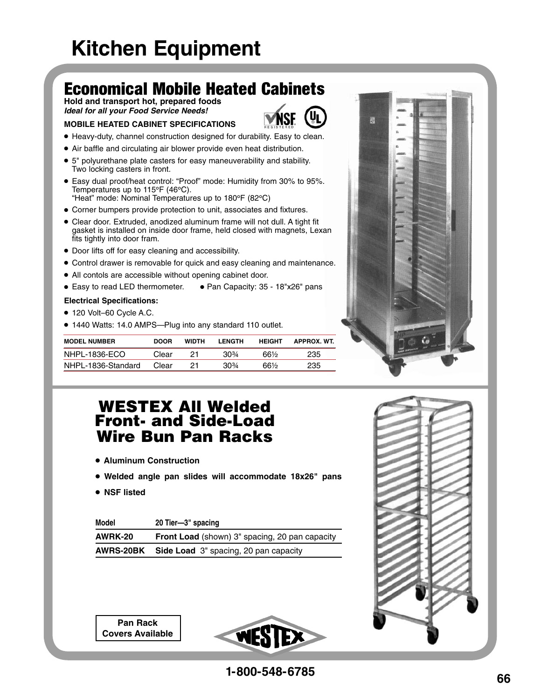# Economical Mobile Heated Cabinets

**Hold and transport hot, prepared foods Ideal for all your Food Service Needs!**

#### **MOBILE HEATED CABINET SPECIFICATIONS**



- Air baffle and circulating air blower provide even heat distribution.
- 5" polyurethane plate casters for easy maneuverability and stability. Two locking casters in front.
- Easy dual proof/heat control: "Proof" mode: Humidity from 30% to 95%. Temperatures up to 115**°**F (46**°**C). "Heat" mode: Nominal Temperatures up to 180**°**F (82**°**C)
- Corner bumpers provide protection to unit, associates and fixtures.
- Clear door. Extruded, anodized aluminum frame will not dull. A tight fit gasket is installed on inside door frame, held closed with magnets, Lexan fits tightly into door fram.
- Door lifts off for easy cleaning and accessibility.
- Control drawer is removable for quick and easy cleaning and maintenance.
- All contols are accessible without opening cabinet door.
- Easy to read LED thermometer. Pan Capacity: 35 18"x26" pans

#### **Electrical Specifications:**

- 120 Volt–60 Cycle A.C.
- 1440 Watts: 14.0 AMPS—Plug into any standard 110 outlet.

| <b>MODEL NUMBER</b> | <b>DOOR</b> | WIDTH | LENGTH | <b>HEIGHT</b> | APPROX WT |
|---------------------|-------------|-------|--------|---------------|-----------|
| NHPL-1836-ECO       | Clear       |       | 30%    | 66½           | 235       |
| NHPL-1836-Standard  | Clear       | 21    | $30\%$ | 66½           | 235       |

## WESTEX All Welded Front- and Side-Load Wire Bun Pan Racks

- **Aluminum Construction**
- **Welded angle pan slides will accommodate 18x26" pans**
- **NSF listed**

| Model            | 20 Tier-3" spacing                             |
|------------------|------------------------------------------------|
| AWRK-20          | Front Load (shown) 3" spacing, 20 pan capacity |
| <b>AWRS-20BK</b> | Side Load 3" spacing, 20 pan capacity          |

**Pan Rack Covers Available**



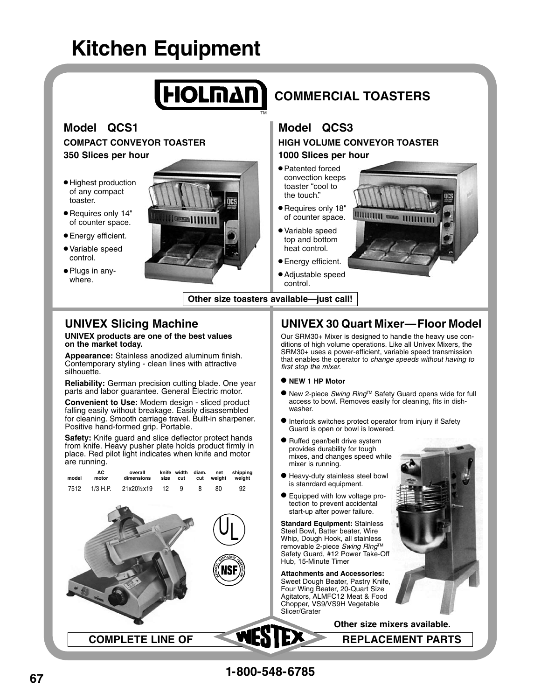

## **UNIVEX Slicing Machine**

#### **UNIVEX products are one of the best values on the market today.**

**Appearance:** Stainless anodized aluminum finish. Contemporary styling - clean lines with attractive silhouette.

**Reliability:** German precision cutting blade. One year parts and labor guarantee. General Electric motor.

**Convenient to Use:** Modern design - sliced product falling easily without breakage. Easily disassembled for cleaning. Smooth carriage travel. Built-in sharpener. Positive hand-formed grip. Portable.

**Safety:** Knife guard and slice deflector protect hands from knife. Heavy pusher plate holds product firmly in place. Red pilot light indicates when knife and motor are running.

 **AC overall knife width diam. net shipping model motor dimensions size cut cut weight weight** 

|  |                         |  |  | <b>BATIO</b> |
|--|-------------------------|--|--|--------------|
|  |                         |  |  |              |
|  |                         |  |  |              |
|  | <b>COMPLETE LINE OF</b> |  |  | t            |

## **UNIVEX 30 Quart Mixer—Floor Model**

Our SRM30+ Mixer is designed to handle the heavy use conditions of high volume operations. Like all Univex Mixers, the SRM30+ uses a power-efficient, variable speed transmission that enables the operator to change speeds without having to first stop the mixer.

- **NEW 1 HP Motor**
- New 2-piece Swing Ring™ Safety Guard opens wide for full access to bowl. Removes easily for cleaning, fits in dishwasher.

 **Other size mixers available.**

**REPLACEMENT PARTS** 

- $\bullet$  Interlock switches protect operator from injury if Safety Guard is open or bowl is lowered.
- Ruffed gear/belt drive system provides durability for tough mixes, and changes speed while mixer is running.
- Heavy-duty stainless steel bowl is stanrdard equipment.
- Equipped with low voltage protection to prevent accidental start-up after power failure.

**Standard Equipment:** Stainless Steel Bowl, Batter beater, Wire Whip, Dough Hook, all stainless removable 2-piece Swing Ring™ Safety Guard, #12 Power Take-Off Hub, 15-Minute Timer

**Attachments and Accessories:** Sweet Dough Beater, Pastry Knife, Four Wing Beater, 20-Quart Size Agitators, ALMFC12 Meat & Food Chopper, VS9/VS9H Vegetable Slicer/Grater